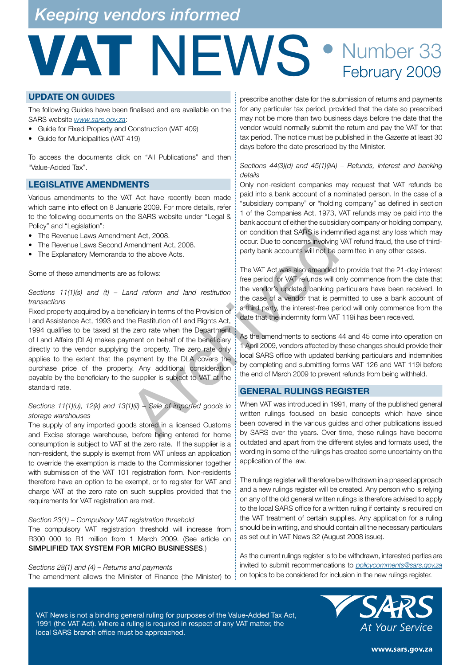## *Keeping vendors informed*

## VAT NEWS • Number 33 February 2009

#### **UPDATE ON GUIDES**

The following Guides have been finalised and are available on the SARS website *www.sars.gov.za*:

- Guide for Fixed Property and Construction (VAT 409)
- Guide for Municipalities (VAT 419)

To access the documents click on "All Publications" and then "Value-Added Tax".

#### **LEGISLATIVE AMENDMENTS**

Various amendments to the VAT Act have recently been made which came into effect on 8 Januarie 2009. For more details, refer to the following documents on the SARS website under "Legal & Policy" and "Legislation":

- The Revenue Laws Amendment Act, 2008.
- The Revenue Laws Second Amendment Act, 2008.
- The Explanatory Memoranda to the above Acts.

Some of these amendments are as follows:

#### *Sections 11(1)(s) and (t) – Land reform and land restitution transactions*

Fixed property acquired by a beneficiary in terms of the Provision of Land Assistance Act, 1993 and the Restitution of Land Rights Act, 1994 qualifies to be taxed at the zero rate when the Department of Land Affairs (DLA) makes payment on behalf of the beneficiary directly to the vendor supplying the property. The zero rate only applies to the extent that the payment by the DLA covers the purchase price of the property. Any additional consideration payable by the beneficiary to the supplier is subject to VAT at the standard rate. ent Act, 2008.<br>
Social condition that SARS is indem<br>
occur. Due to concerns involving<br>
occur. Due to concerns involving<br>
and to the above Acts.<br>
The VAT Act was also amended the proportion of the VAT Trefunds will not be p

#### *Sections 11(1)(u), 12(k) and 13(1)(ii) – Sale of imported goods in storage warehouses*

The supply of any imported goods stored in a licensed Customs and Excise storage warehouse, before being entered for home consumption is subject to VAT at the zero rate. If the supplier is a non-resident, the supply is exempt from VAT unless an application to override the exemption is made to the Commissioner together with submission of the VAT 101 registration form. Non-residents therefore have an option to be exempt, or to register for VAT and charge VAT at the zero rate on such supplies provided that the requirements for VAT registration are met.

#### *Section 23(1) – Compulsory VAT registration threshold*

The compulsory VAT registration threshold will increase from R300 000 to R1 million from 1 March 2009. (See article on SIMPLIFIED TAX SYSTEM FOR MICRO BUSINESSES.)

*Sections 28(1) and (4) – Returns and payments*  The amendment allows the Minister of Finance (the Minister) to

prescribe another date for the submission of returns and payments for any particular tax period, provided that the date so prescribed may not be more than two business days before the date that the vendor would normally submit the return and pay the VAT for that tax period. The notice must be published in the *Gazette* at least 30 days before the date prescribed by the Minister.

#### *Sections 44(3)(d) and 45(1)(iiA) – Refunds, interest and banking details*

Only non-resident companies may request that VAT refunds be paid into a bank account of a nominated person. In the case of a "subsidiary company" or "holding company" as defined in section 1 of the Companies Act, 1973, VAT refunds may be paid into the bank account of either the subsidiary company or holding company, on condition that SARS is indemnified against any loss which may occur. Due to concerns involving VAT refund fraud, the use of thirdparty bank accounts will not be permitted in any other cases.

The VAT Act was also amended to provide that the 21-day interest free period for VAT refunds will only commence from the date that the vendor's updated banking particulars have been received. In the case of a vendor that is permitted to use a bank account of a third party, the interest-free period will only commence from the date that the indemnity form VAT 119i has been received.

As the amendments to sections 44 and 45 come into operation on 1 April 2009, vendors affected by these changes should provide their local SARS office with updated banking particulars and indemnities by completing and submitting forms VAT 126 and VAT 119i before the end of March 2009 to prevent refunds from being withheld.

#### **GENERAL RULINGS REGISTER**

When VAT was introduced in 1991, many of the published general written rulings focused on basic concepts which have since been covered in the various guides and other publications issued by SARS over the years. Over time, these rulings have become outdated and apart from the different styles and formats used, the wording in some of the rulings has created some uncertainty on the application of the law.

The rulings register will therefore be withdrawn in a phased approach and a new rulings register will be created. Any person who is relying on any of the old general written rulings is therefore advised to apply to the local SARS office for a written ruling if certainty is required on the VAT treatment of certain supplies. Any application for a ruling should be in writing, and should contain all the necessary particulars as set out in VAT News 32 (August 2008 issue).

As the current rulings register is to be withdrawn, interested parties are invited to submit recommendations to *policycomments@sars.gov.za* on topics to be considered for inclusion in the new rulings register.

VAT News is not a binding general ruling for purposes of the Value-Added Tax Act, 1991 (the VAT Act). Where a ruling is required in respect of any VAT matter, the local SARS branch office must be approached.



www.sars.gov.za